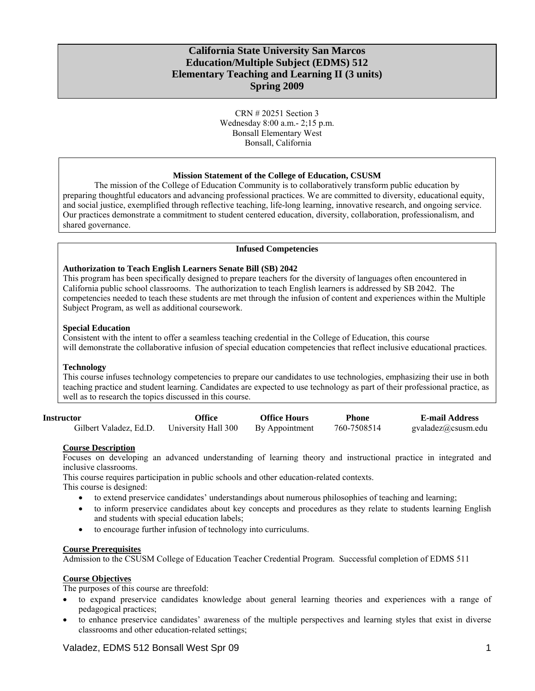# **California State University San Marcos Education/Multiple Subject (EDMS) 512 Elementary Teaching and Learning II (3 units) Spring 2009**

CRN # 20251 Section 3 Wednesday 8:00 a.m.- 2;15 p.m. Bonsall Elementary West Bonsall, California

### **Mission Statement of the College of Education, CSUSM**

The mission of the College of Education Community is to collaboratively transform public education by preparing thoughtful educators and advancing professional practices. We are committed to diversity, educational equity, and social justice, exemplified through reflective teaching, life-long learning, innovative research, and ongoing service. Our practices demonstrate a commitment to student centered education, diversity, collaboration, professionalism, and shared governance.

### **Infused Competencies**

### **Authorization to Teach English Learners Senate Bill (SB) 2042**

This program has been specifically designed to prepare teachers for the diversity of languages often encountered in California public school classrooms. The authorization to teach English learners is addressed by SB 2042. The competencies needed to teach these students are met through the infusion of content and experiences within the Multiple Subject Program, as well as additional coursework.

# **Special Education**

Consistent with the intent to offer a seamless teaching credential in the College of Education, this course will demonstrate the collaborative infusion of special education competencies that reflect inclusive educational practices.

### **Technology**

This course infuses technology competencies to prepare our candidates to use technologies, emphasizing their use in both teaching practice and student learning. Candidates are expected to use technology as part of their professional practice, as well as to research the topics discussed in this course.

| <b>Instructor</b>      | Office              | Office Hours   | Phone       | <b>E-mail Address</b> |
|------------------------|---------------------|----------------|-------------|-----------------------|
| Gilbert Valadez, Ed.D. | University Hall 300 | By Appointment | 760-7508514 | gvaladez@csusm.edu    |

### **Course Description**

Focuses on developing an advanced understanding of learning theory and instructional practice in integrated and inclusive classrooms.

This course requires participation in public schools and other education-related contexts.

This course is designed:

- to extend preservice candidates' understandings about numerous philosophies of teaching and learning;
- to inform preservice candidates about key concepts and procedures as they relate to students learning English and students with special education labels;
- to encourage further infusion of technology into curriculums.

## **Course Prerequisites**

Admission to the CSUSM College of Education Teacher Credential Program. Successful completion of EDMS 511

### **Course Objectives**

The purposes of this course are threefold:

- to expand preservice candidates knowledge about general learning theories and experiences with a range of pedagogical practices;
- to enhance preservice candidates' awareness of the multiple perspectives and learning styles that exist in diverse classrooms and other education-related settings;

Valadez, EDMS 512 Bonsall West Spr 09 1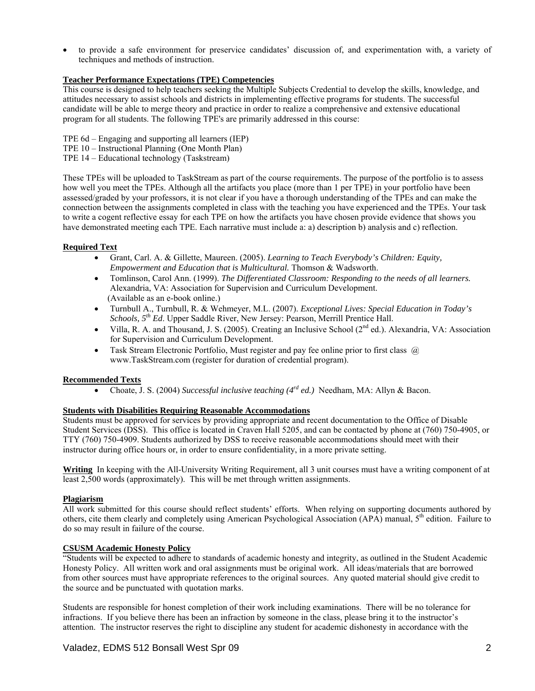to provide a safe environment for preservice candidates' discussion of, and experimentation with, a variety of techniques and methods of instruction.

# **Teacher Performance Expectations (TPE) Competencies**

This course is designed to help teachers seeking the Multiple Subjects Credential to develop the skills, knowledge, and attitudes necessary to assist schools and districts in implementing effective programs for students. The successful candidate will be able to merge theory and practice in order to realize a comprehensive and extensive educational program for all students. The following TPE's are primarily addressed in this course:

- TPE 6d Engaging and supporting all learners (IEP)
- TPE 10 Instructional Planning (One Month Plan)
- TPE 14 Educational technology (Taskstream)

These TPEs will be uploaded to TaskStream as part of the course requirements. The purpose of the portfolio is to assess how well you meet the TPEs. Although all the artifacts you place (more than 1 per TPE) in your portfolio have been assessed/graded by your professors, it is not clear if you have a thorough understanding of the TPEs and can make the connection between the assignments completed in class with the teaching you have experienced and the TPEs. Your task to write a cogent reflective essay for each TPE on how the artifacts you have chosen provide evidence that shows you have demonstrated meeting each TPE. Each narrative must include a: a) description b) analysis and c) reflection.

# **Required Text**

- Grant, Carl. A. & Gillette, Maureen. (2005). *Learning to Teach Everybody's Children: Equity, Empowerment and Education that is Multicultural.* Thomson & Wadsworth.
- • Tomlinson, Carol Ann. (1999). *The Differentiated Classroom: Responding to the needs of all learners.*  Alexandria, VA: Association for Supervision and Curriculum Development. (Available as an e-book online.)
- • Turnbull A., Turnbull, R. & Wehmeyer, M.L. (2007). *Exceptional Lives: Special Education in Today's Schools, 5th Ed*. Upper Saddle River, New Jersey: Pearson, Merrill Prentice Hall.
- Villa, R. A. and Thousand, J. S. (2005). Creating an Inclusive School ( $2<sup>nd</sup>$  ed.). Alexandria, VA: Association for Supervision and Curriculum Development.
- Task Stream Electronic Portfolio, Must register and pay fee online prior to first class  $\omega$ www.TaskStream.com (register for duration of credential program).

# **Recommended Texts**

• Choate, J. S. (2004) *Successful inclusive teaching (4rd ed.)* Needham, MA: Allyn & Bacon.

# **Students with Disabilities Requiring Reasonable Accommodations**

Students must be approved for services by providing appropriate and recent documentation to the Office of Disable Student Services (DSS). This office is located in Craven Hall 5205, and can be contacted by phone at (760) 750-4905, or TTY (760) 750-4909. Students authorized by DSS to receive reasonable accommodations should meet with their instructor during office hours or, in order to ensure confidentiality, in a more private setting.

**Writing** In keeping with the All-University Writing Requirement, all 3 unit courses must have a writing component of at least 2,500 words (approximately). This will be met through written assignments.

# **Plagiarism**

All work submitted for this course should reflect students' efforts. When relying on supporting documents authored by others, cite them clearly and completely using American Psychological Association (APA) manual,  $5<sup>th</sup>$  edition. Failure to do so may result in failure of the course.

# **CSUSM Academic Honesty Policy**

"Students will be expected to adhere to standards of academic honesty and integrity, as outlined in the Student Academic Honesty Policy. All written work and oral assignments must be original work. All ideas/materials that are borrowed from other sources must have appropriate references to the original sources. Any quoted material should give credit to the source and be punctuated with quotation marks.

Students are responsible for honest completion of their work including examinations. There will be no tolerance for infractions. If you believe there has been an infraction by someone in the class, please bring it to the instructor's attention. The instructor reserves the right to discipline any student for academic dishonesty in accordance with the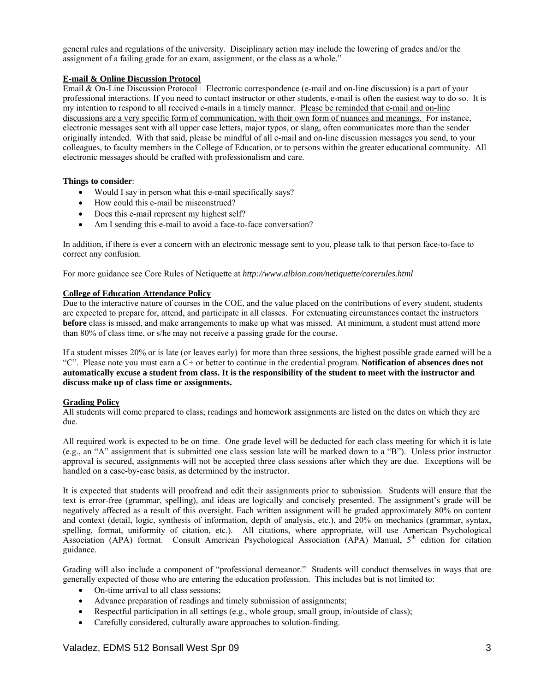general rules and regulations of the university. Disciplinary action may include the lowering of grades and/or the assignment of a failing grade for an exam, assignment, or the class as a whole."

# **E-mail & Online Discussion Protocol**

Email & On-Line Discussion Protocol  $\Box$ Electronic correspondence (e-mail and on-line discussion) is a part of your professional interactions. If you need to contact instructor or other students, e-mail is often the easiest way to do so. It is my intention to respond to all received e-mails in a timely manner. Please be reminded that e-mail and on-line discussions are a very specific form of communication, with their own form of nuances and meanings. For instance, electronic messages sent with all upper case letters, major typos, or slang, often communicates more than the sender originally intended. With that said, please be mindful of all e-mail and on-line discussion messages you send, to your colleagues, to faculty members in the College of Education, or to persons within the greater educational community. All electronic messages should be crafted with professionalism and care.

# **Things to consider**:

- Would I say in person what this e-mail specifically says?
- How could this e-mail be misconstrued?
- Does this e-mail represent my highest self?
- Am I sending this e-mail to avoid a face-to-face conversation?

• Am I sending this e-mail to avoid a face-to-face conversation?<br>In addition, if there is ever a concern with an electronic message sent to you, please talk to that person face-to-face to correct any confusion.

For more guidance see Core Rules of Netiquette at *http://www.albion.com/netiquette/corerules.html* 

# **College of Education Attendance Policy**

Due to the interactive nature of courses in the COE, and the value placed on the contributions of every student, students are expected to prepare for, attend, and participate in all classes. For extenuating circumstances contact the instructors **before** class is missed, and make arrangements to make up what was missed. At minimum, a student must attend more than 80% of class time, or s/he may not receive a passing grade for the course.

If a student misses 20% or is late (or leaves early) for more than three sessions, the highest possible grade earned will be a "C". Please note you must earn a C+ or better to continue in the credential program. **Notification of absences does not automatically excuse a student from class. It is the responsibility of the student to meet with the instructor and discuss make up of class time or assignments.** 

# **Grading Policy**

All students will come prepared to class; readings and homework assignments are listed on the dates on which they are due.

All required work is expected to be on time. One grade level will be deducted for each class meeting for which it is late (e.g., an "A" assignment that is submitted one class session late will be marked down to a "B"). Unless prior instructor approval is secured, assignments will not be accepted three class sessions after which they are due. Exceptions will be handled on a case-by-case basis, as determined by the instructor.

 negatively affected as a result of this oversight. Each written assignment will be graded approximately 80% on content It is expected that students will proofread and edit their assignments prior to submission. Students will ensure that the text is error-free (grammar, spelling), and ideas are logically and concisely presented. The assignment's grade will be and context (detail, logic, synthesis of information, depth of analysis, etc.), and 20% on mechanics (grammar, syntax, spelling, format, uniformity of citation, etc.). All citations, where appropriate, will use American Psychological Association (APA) format. Consult American Psychological Association (APA) Manual,  $5<sup>th</sup>$  edition for citation guidance.

Grading will also include a component of "professional demeanor." Students will conduct themselves in ways that are generally expected of those who are entering the education profession. This includes but is not limited to:

- On-time arrival to all class sessions;
- Advance preparation of readings and timely submission of assignments;
- Respectful participation in all settings (e.g., whole group, small group, in/outside of class);
- Carefully considered, culturally aware approaches to solution-finding.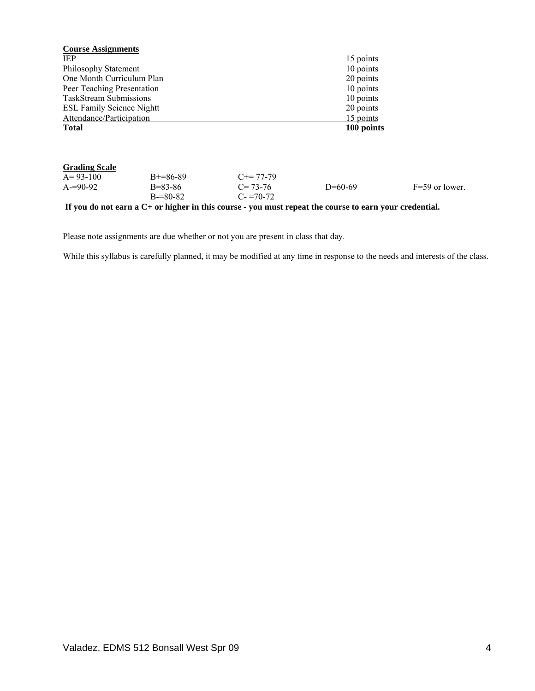| <b>Course Assignments</b>        |               |                                                                                                              |            |                  |  |
|----------------------------------|---------------|--------------------------------------------------------------------------------------------------------------|------------|------------------|--|
| IEP.                             |               |                                                                                                              | 15 points  |                  |  |
| Philosophy Statement             |               |                                                                                                              | 10 points  |                  |  |
| One Month Curriculum Plan        |               |                                                                                                              | 20 points  |                  |  |
| Peer Teaching Presentation       |               |                                                                                                              | 10 points  |                  |  |
| <b>TaskStream Submissions</b>    |               |                                                                                                              | 10 points  |                  |  |
| <b>ESL Family Science Nightt</b> |               |                                                                                                              | 20 points  |                  |  |
| Attendance/Participation         |               |                                                                                                              | 15 points  |                  |  |
| <b>Total</b>                     |               |                                                                                                              | 100 points |                  |  |
| <b>Grading Scale</b>             |               |                                                                                                              |            |                  |  |
| $A=93-100$                       | $B+=86-89$    | $C == 77-79$                                                                                                 |            |                  |  |
| $A = 90-92$                      | $B = 83 - 86$ | $C = 73-76$                                                                                                  | $D=60-69$  | $F=59$ or lower. |  |
|                                  | $B = 80 - 82$ | $C = 70-72$                                                                                                  |            |                  |  |
|                                  |               | If you do not earn a $C_{\pm}$ or higher in this course - you must repeat the course to earn your credential |            |                  |  |

**If you do not earn a C+ or higher in this course - you must repeat the course to earn your credential.** 

Please note assignments are due whether or not you are present in class that day.

While this syllabus is carefully planned, it may be modified at any time in response to the needs and interests of the class.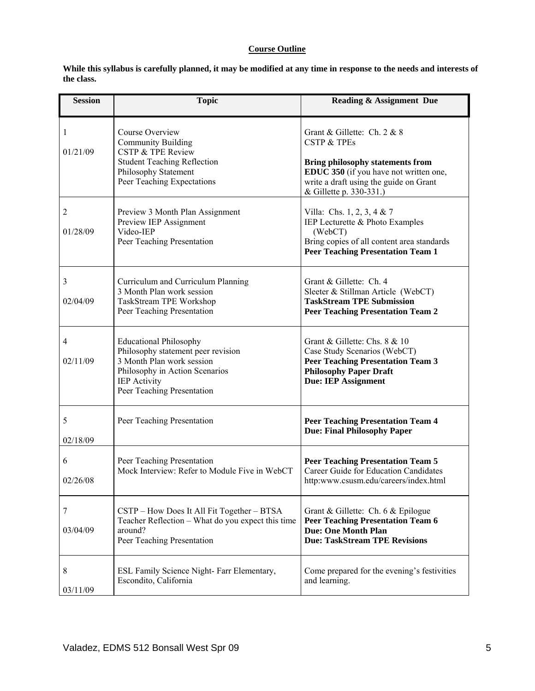# **Course Outline**

**While this syllabus is carefully planned, it may be modified at any time in response to the needs and interests of the class.** 

| <b>Session</b>             | <b>Topic</b>                                                                                                                                                                            | <b>Reading &amp; Assignment Due</b>                                                                                                                                                                             |
|----------------------------|-----------------------------------------------------------------------------------------------------------------------------------------------------------------------------------------|-----------------------------------------------------------------------------------------------------------------------------------------------------------------------------------------------------------------|
| 1<br>01/21/09              | Course Overview<br><b>Community Building</b><br><b>CSTP &amp; TPE Review</b><br><b>Student Teaching Reflection</b><br>Philosophy Statement<br>Peer Teaching Expectations                | Grant & Gillette: Ch. 2 & 8<br><b>CSTP &amp; TPEs</b><br><b>Bring philosophy statements from</b><br>EDUC 350 (if you have not written one,<br>write a draft using the guide on Grant<br>& Gillette p. 330-331.) |
| $\overline{c}$<br>01/28/09 | Preview 3 Month Plan Assignment<br>Preview IEP Assignment<br>Video-IEP<br>Peer Teaching Presentation                                                                                    | Villa: Chs. 1, 2, 3, 4 & 7<br>IEP Lecturette & Photo Examples<br>(WebCT)<br>Bring copies of all content area standards<br><b>Peer Teaching Presentation Team 1</b>                                              |
| 3<br>02/04/09              | Curriculum and Curriculum Planning<br>3 Month Plan work session<br>TaskStream TPE Workshop<br>Peer Teaching Presentation                                                                | Grant & Gillette: Ch. 4<br>Sleeter & Stillman Article (WebCT)<br><b>TaskStream TPE Submission</b><br><b>Peer Teaching Presentation Team 2</b>                                                                   |
| 4<br>02/11/09              | <b>Educational Philosophy</b><br>Philosophy statement peer revision<br>3 Month Plan work session<br>Philosophy in Action Scenarios<br><b>IEP Activity</b><br>Peer Teaching Presentation | Grant & Gillette: Chs. 8 & 10<br>Case Study Scenarios (WebCT)<br><b>Peer Teaching Presentation Team 3</b><br><b>Philosophy Paper Draft</b><br><b>Due: IEP Assignment</b>                                        |
| 5<br>02/18/09              | Peer Teaching Presentation                                                                                                                                                              | <b>Peer Teaching Presentation Team 4</b><br><b>Due: Final Philosophy Paper</b>                                                                                                                                  |
| 6<br>02/26/08              | Peer Teaching Presentation<br>Mock Interview: Refer to Module Five in WebCT                                                                                                             | <b>Peer Teaching Presentation Team 5</b><br><b>Career Guide for Education Candidates</b><br>http:www.csusm.edu/careers/index.html                                                                               |
| 7<br>03/04/09              | CSTP – How Does It All Fit Together – BTSA<br>Teacher Reflection – What do you expect this time<br>around?<br>Peer Teaching Presentation                                                | Grant & Gillette: Ch. 6 & Epilogue<br><b>Peer Teaching Presentation Team 6</b><br><b>Due: One Month Plan</b><br><b>Due: TaskStream TPE Revisions</b>                                                            |
| 8<br>03/11/09              | ESL Family Science Night- Farr Elementary,<br>Escondito, California                                                                                                                     | Come prepared for the evening's festivities<br>and learning.                                                                                                                                                    |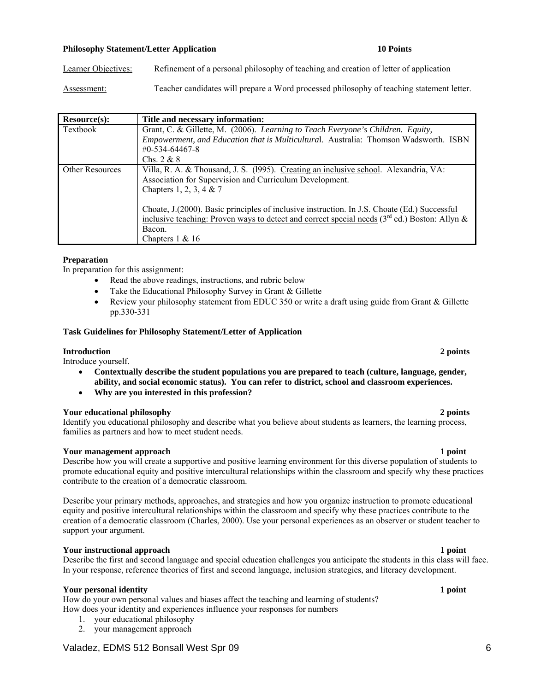# **Philosophy Statement/Letter Application 10 Points 10 Points**

Learner Objectives: Refinement of a personal philosophy of teaching and creation of letter of application

Assessment: Teacher candidates will prepare a Word processed philosophy of teaching statement letter.

| Resource(s):           | Title and necessary information:                                                                |
|------------------------|-------------------------------------------------------------------------------------------------|
| Textbook               | Grant, C. & Gillette, M. (2006). Learning to Teach Everyone's Children. Equity,                 |
|                        | Empowerment, and Education that is Multicultural. Australia: Thomson Wadsworth. ISBN            |
|                        | #0-534-64467-8                                                                                  |
|                        | Chs. $2 & 8$                                                                                    |
| <b>Other Resources</b> | Villa, R. A. & Thousand, J. S. (1995). Creating an inclusive school. Alexandria, VA:            |
|                        | Association for Supervision and Curriculum Development.                                         |
|                        | Chapters 1, 2, 3, 4 & 7                                                                         |
|                        |                                                                                                 |
|                        | Choate, J. (2000). Basic principles of inclusive instruction. In J.S. Choate (Ed.) Successful   |
|                        | inclusive teaching: Proven ways to detect and correct special needs $(3rd$ ed.) Boston: Allyn & |
|                        | Bacon.                                                                                          |
|                        | Chapters $1 \& 16$                                                                              |

### **Preparation**

In preparation for this assignment:

- Read the above readings, instructions, and rubric below
- Take the Educational Philosophy Survey in Grant & Gillette
- Review your philosophy statement from EDUC 350 or write a draft using guide from Grant & Gillette pp.330-331

### **Task Guidelines for Philosophy Statement/Letter of Application**

### **Introduction 2 points**

Introduce yourself.

- **Contextually describe the student populations you are prepared to teach (culture, language, gender, ability, and social economic status). You can refer to district, school and classroom experiences.**
- • **Why are you interested in this profession?**

### **Your educational philosophy 2 points**

Identify you educational philosophy and describe what you believe about students as learners, the learning process, families as partners and how to meet student needs.

### **Your management approach 1 point 1 point 1 point 1 point 1 point 1 point 1 point 1 point 1 point 1 point 1 point 1 point 1 point 1 point 1 point 1 point 1 point 1 point 1 point 1 point 1 point 1 point 1 point 1 point 1 po**

Describe how you will create a supportive and positive learning environment for this diverse population of students to promote educational equity and positive intercultural relationships within the classroom and specify why these practices contribute to the creation of a democratic classroom.

 support your argument. Describe your primary methods, approaches, and strategies and how you organize instruction to promote educational equity and positive intercultural relationships within the classroom and specify why these practices contribute to the creation of a democratic classroom (Charles, 2000). Use your personal experiences as an observer or student teacher to

### **Your instructional approach 1 point 1 point 1 point 1 point 1 point 1 point 1 point 1 point 1 point 1 point 1 point 1 point 1 point 1 point 1 point 1 point 1 point 1 point 1 point 1 point 1 point 1 point 1 point 1 point 1**

Describe the first and second language and special education challenges you anticipate the students in this class will face. In your response, reference theories of first and second language, inclusion strategies, and literacy development.

### **Your personal identity 1 point**

How do your own personal values and biases affect the teaching and learning of students? How does your identity and experiences influence your responses for numbers

- 1. your educational philosophy
- 2. your management approach

# Valadez, EDMS 512 Bonsall West Spr 09 6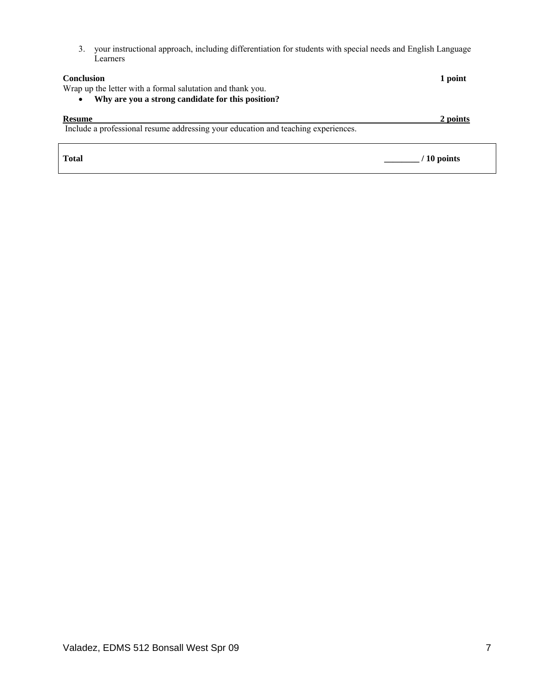3. your instructional approach, including differentiation for students with special needs and English Language Learners

| <b>Conclusion</b>                                                                 | 1 point   |
|-----------------------------------------------------------------------------------|-----------|
| Wrap up the letter with a formal salutation and thank you.                        |           |
| Why are you a strong candidate for this position?<br>$\bullet$                    |           |
| <b>Resume</b>                                                                     | 2 points  |
| Include a professional resume addressing your education and teaching experiences. |           |
|                                                                                   |           |
| <b>Total</b>                                                                      | 10 points |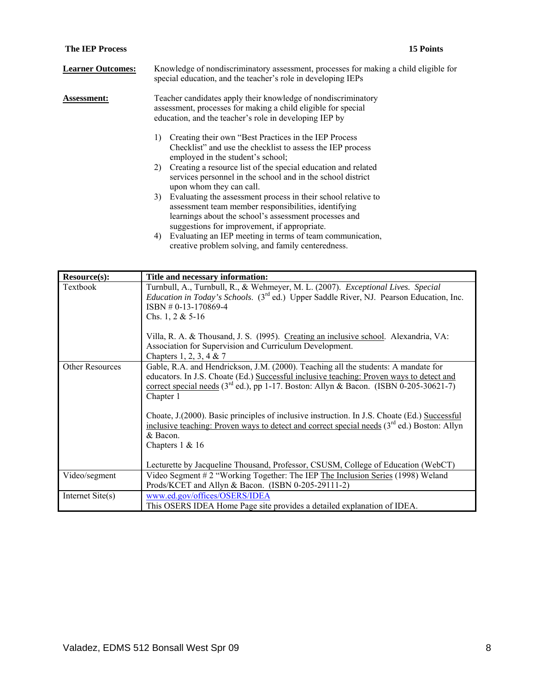| <b>Learner Outcomes:</b> | Knowledge of nondiscriminatory assessment, processes for making a child eligible for<br>special education, and the teacher's role in developing IEPs                                                                                 |  |  |
|--------------------------|--------------------------------------------------------------------------------------------------------------------------------------------------------------------------------------------------------------------------------------|--|--|
| <b>Assessment:</b>       | Teacher candidates apply their knowledge of nondiscriminatory<br>assessment, processes for making a child eligible for special<br>education, and the teacher's role in developing IEP by                                             |  |  |
|                          | Creating their own "Best Practices in the IEP Process"<br>1)<br>Checklist" and use the checklist to assess the IEP process<br>employed in the student's school;                                                                      |  |  |
|                          | 2) Creating a resource list of the special education and related<br>services personnel in the school and in the school district<br>upon whom they can call.                                                                          |  |  |
|                          | Evaluating the assessment process in their school relative to<br>3)<br>assessment team member responsibilities, identifying<br>learnings about the school's assessment processes and<br>suggestions for improvement, if appropriate. |  |  |
|                          | Evaluating an IEP meeting in terms of team communication,<br>4)                                                                                                                                                                      |  |  |

| creative problem solving, and family centeredness. |  |  |
|----------------------------------------------------|--|--|

| Resource(s):           | Title and necessary information:                                                                                                                                                                                                                                                                                                       |
|------------------------|----------------------------------------------------------------------------------------------------------------------------------------------------------------------------------------------------------------------------------------------------------------------------------------------------------------------------------------|
| Textbook               | Turnbull, A., Turnbull, R., & Wehmeyer, M. L. (2007). Exceptional Lives. Special<br><i>Education in Today's Schools.</i> (3 <sup>rd</sup> ed.) Upper Saddle River, NJ. Pearson Education, Inc.<br>$ISBN # 0-13-170869-4$<br>Chs. 1, 2 & $5-16$<br>Villa, R. A. & Thousand, J. S. (1995). Creating an inclusive school. Alexandria, VA: |
|                        | Association for Supervision and Curriculum Development.                                                                                                                                                                                                                                                                                |
|                        | Chapters 1, 2, 3, 4 & 7                                                                                                                                                                                                                                                                                                                |
| <b>Other Resources</b> | Gable, R.A. and Hendrickson, J.M. (2000). Teaching all the students: A mandate for<br>educators. In J.S. Choate (Ed.) Successful inclusive teaching: Proven ways to detect and<br>correct special needs $(3^{rd}$ ed.), pp 1-17. Boston: Allyn & Bacon. (ISBN 0-205-30621-7)<br>Chapter 1                                              |
|                        | Choate, J. (2000). Basic principles of inclusive instruction. In J.S. Choate (Ed.) Successful<br>inclusive teaching: Proven ways to detect and correct special needs $(3rd$ ed.) Boston: Allyn<br>& Bacon.<br>Chapters $1 & 16$                                                                                                        |
|                        | Lecturette by Jacqueline Thousand, Professor, CSUSM, College of Education (WebCT)                                                                                                                                                                                                                                                      |
| Video/segment          | Video Segment # 2 "Working Together: The IEP The Inclusion Series (1998) Weland<br>Prods/KCET and Allyn & Bacon. (ISBN 0-205-29111-2)                                                                                                                                                                                                  |
| Internet Site(s)       | www.ed.gov/offices/OSERS/IDEA<br>This OSERS IDEA Home Page site provides a detailed explanation of IDEA.                                                                                                                                                                                                                               |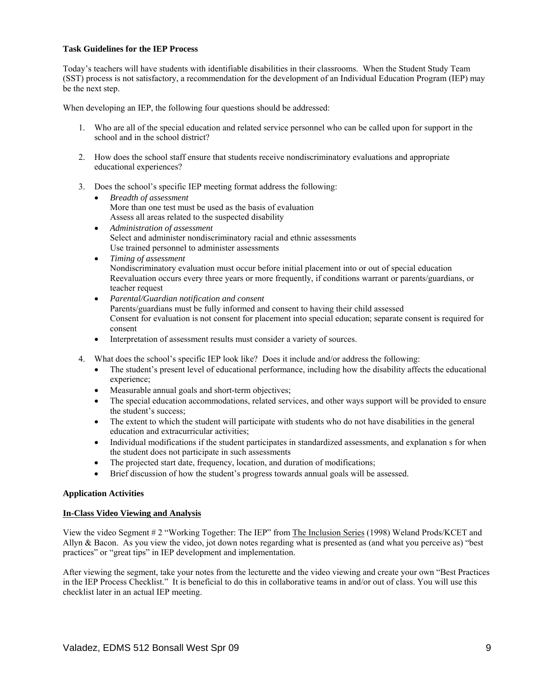## **Task Guidelines for the IEP Process**

Today's teachers will have students with identifiable disabilities in their classrooms. When the Student Study Team (SST) process is not satisfactory, a recommendation for the development of an Individual Education Program (IEP) may be the next step.

When developing an IEP, the following four questions should be addressed:

- 1. Who are all of the special education and related service personnel who can be called upon for support in the school and in the school district?
- 2. How does the school staff ensure that students receive nondiscriminatory evaluations and appropriate educational experiences?
- 3. Does the school's specific IEP meeting format address the following:
	- **Breadth of assessment** More than one test must be used as the basis of evaluation Assess all areas related to the suspected disability
	- • *Administration of assessment*  Select and administer nondiscriminatory racial and ethnic assessments Use trained personnel to administer assessments
	- • *Timing of assessment*  Nondiscriminatory evaluation must occur before initial placement into or out of special education Reevaluation occurs every three years or more frequently, if conditions warrant or parents/guardians, or teacher request
	- • *Parental/Guardian notification and consent*  Parents/guardians must be fully informed and consent to having their child assessed Consent for evaluation is not consent for placement into special education; separate consent is required for consent
	- Interpretation of assessment results must consider a variety of sources.
- 4. What does the school's specific IEP look like? Does it include and/or address the following:
	- The student's present level of educational performance, including how the disability affects the educational experience;
	- Measurable annual goals and short-term objectives;
	- The special education accommodations, related services, and other ways support will be provided to ensure the student's success;
	- The extent to which the student will participate with students who do not have disabilities in the general education and extracurricular activities;
	- Individual modifications if the student participates in standardized assessments, and explanation s for when the student does not participate in such assessments
	- The projected start date, frequency, location, and duration of modifications;
	- Brief discussion of how the student's progress towards annual goals will be assessed.

# **Application Activities**

### **In-Class Video Viewing and Analysis**

View the video Segment # 2 "Working Together: The IEP" from The Inclusion Series (1998) Weland Prods/KCET and Allyn & Bacon. As you view the video, jot down notes regarding what is presented as (and what you perceive as) "best practices" or "great tips" in IEP development and implementation.

 checklist later in an actual IEP meeting. After viewing the segment, take your notes from the lecturette and the video viewing and create your own "Best Practices in the IEP Process Checklist." It is beneficial to do this in collaborative teams in and/or out of class. You will use this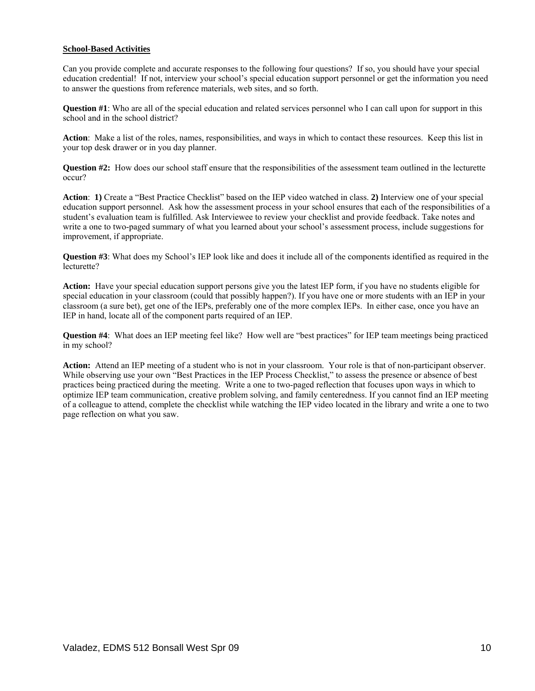# **School-Based Activities**

Can you provide complete and accurate responses to the following four questions? If so, you should have your special education credential! If not, interview your school's special education support personnel or get the information you need to answer the questions from reference materials, web sites, and so forth.

 school and in the school district? **Question #1**: Who are all of the special education and related services personnel who I can call upon for support in this

**Action**: Make a list of the roles, names, responsibilities, and ways in which to contact these resources. Keep this list in your top desk drawer or in you day planner.

**Question #2:** How does our school staff ensure that the responsibilities of the assessment team outlined in the lecturette occur?

**Action**: **1)** Create a "Best Practice Checklist" based on the IEP video watched in class. **2)** Interview one of your special education support personnel. Ask how the assessment process in your school ensures that each of the responsibilities of a student's evaluation team is fulfilled. Ask Interviewee to review your checklist and provide feedback. Take notes and write a one to two-paged summary of what you learned about your school's assessment process, include suggestions for improvement, if appropriate.

 lecturette? **Question #3**: What does my School's IEP look like and does it include all of the components identified as required in the

**Action:** Have your special education support persons give you the latest IEP form, if you have no students eligible for special education in your classroom (could that possibly happen?). If you have one or more students with an IEP in your classroom (a sure bet), get one of the IEPs, preferably one of the more complex IEPs. In either case, once you have an IEP in hand, locate all of the component parts required of an IEP.

**Question #4**: What does an IEP meeting feel like? How well are "best practices" for IEP team meetings being practiced in my school?

**Action:** Attend an IEP meeting of a student who is not in your classroom. Your role is that of non-participant observer. While observing use your own "Best Practices in the IEP Process Checklist," to assess the presence or absence of best practices being practiced during the meeting. Write a one to two-paged reflection that focuses upon ways in which to optimize IEP team communication, creative problem solving, and family centeredness. If you cannot find an IEP meeting of a colleague to attend, complete the checklist while watching the IEP video located in the library and write a one to two page reflection on what you saw.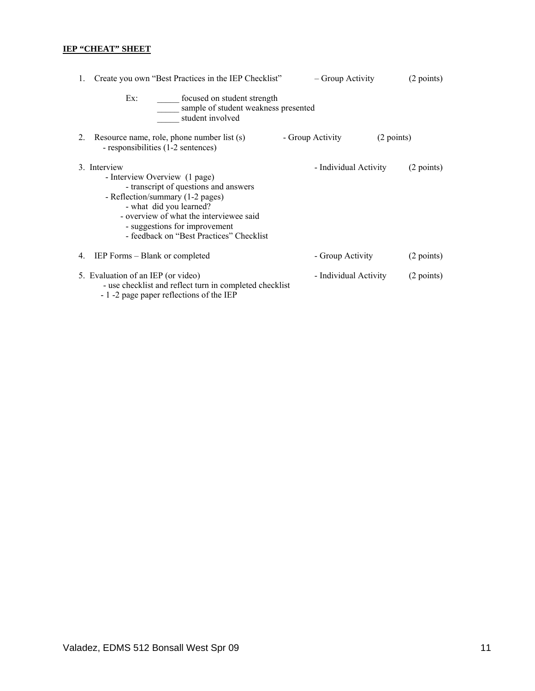# **IEP "CHEAT" SHEET**

| 1. | Create you own "Best Practices in the IEP Checklist"                                                                                                                                                                                                                          | – Group Activity      | (2 points) |
|----|-------------------------------------------------------------------------------------------------------------------------------------------------------------------------------------------------------------------------------------------------------------------------------|-----------------------|------------|
|    | Ex:<br>focused on student strength<br>sample of student weakness presented<br>student involved                                                                                                                                                                                |                       |            |
| 2. | Resource name, role, phone number list (s)<br>- responsibilities (1-2 sentences)                                                                                                                                                                                              | - Group Activity      | (2 points) |
|    | 3. Interview<br>- Interview Overview (1 page)<br>- transcript of questions and answers<br>- Reflection/summary (1-2 pages)<br>- what did you learned?<br>- overview of what the interviewee said<br>- suggestions for improvement<br>- feedback on "Best Practices" Checklist | - Individual Activity | (2 points) |
| 4. | IEP Forms - Blank or completed                                                                                                                                                                                                                                                | - Group Activity      | (2 points) |
|    | 5. Evaluation of an IEP (or video)<br>- use checklist and reflect turn in completed checklist<br>- 1 -2 page paper reflections of the IEP                                                                                                                                     | - Individual Activity | (2 points) |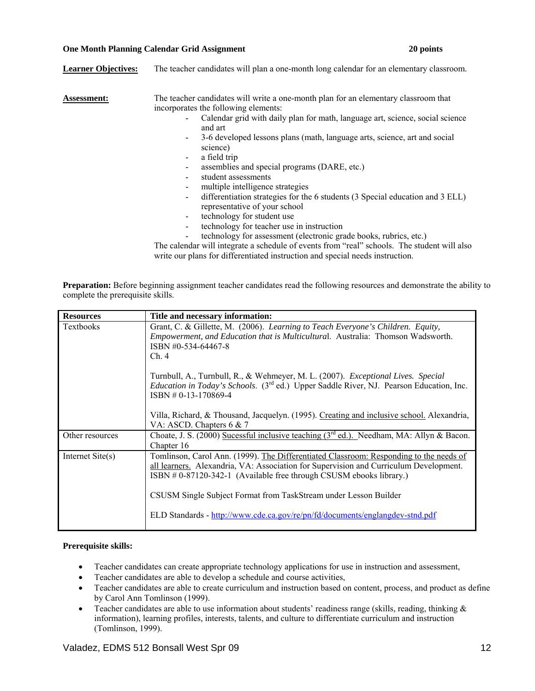### **One Month Planning Calendar Grid Assignment 20 points**

| <b>Learner Objectives:</b> | The teacher candidates will plan a one-month long calendar for an elementary classroom.                                                                                                                      |
|----------------------------|--------------------------------------------------------------------------------------------------------------------------------------------------------------------------------------------------------------|
| Assessment:                | The teacher candidates will write a one-month plan for an elementary classroom that<br>incorporates the following elements:<br>Calendar grid with daily plan for math, language art, science, social science |
|                            | and art                                                                                                                                                                                                      |
|                            | 3-6 developed lessons plans (math, language arts, science, art and social<br>$\overline{\phantom{a}}$<br>science)                                                                                            |
|                            | a field trip<br>$\blacksquare$                                                                                                                                                                               |
|                            | assemblies and special programs (DARE, etc.)<br>$\overline{\phantom{a}}$                                                                                                                                     |
|                            | student assessments<br>$\overline{\phantom{a}}$                                                                                                                                                              |
|                            | multiple intelligence strategies                                                                                                                                                                             |
|                            | differentiation strategies for the 6 students (3 Special education and 3 ELL)<br>$\overline{\phantom{a}}$<br>representative of your school                                                                   |
|                            | technology for student use<br>$\blacksquare$                                                                                                                                                                 |
|                            | technology for teacher use in instruction                                                                                                                                                                    |
|                            | technology for assessment (electronic grade books, rubrics, etc.)                                                                                                                                            |
|                            | The calendar will integrate a schedule of events from "real" schools. The student will also                                                                                                                  |
|                            | write our plans for differentiated instruction and special needs instruction.                                                                                                                                |

**Preparation:** Before beginning assignment teacher candidates read the following resources and demonstrate the ability to complete the prerequisite skills.

| <b>Resources</b> | Title and necessary information:                                                                                                                                                                                                                                                                                                                                                                             |
|------------------|--------------------------------------------------------------------------------------------------------------------------------------------------------------------------------------------------------------------------------------------------------------------------------------------------------------------------------------------------------------------------------------------------------------|
| <b>Textbooks</b> | Grant, C. & Gillette, M. (2006). Learning to Teach Everyone's Children. Equity,<br><i>Empowerment, and Education that is Multicultural. Australia: Thomson Wadsworth.</i><br>ISBN #0-534-64467-8<br>Ch.4                                                                                                                                                                                                     |
|                  | Turnbull, A., Turnbull, R., & Wehmeyer, M. L. (2007). Exceptional Lives. Special<br><i>Education in Today's Schools.</i> (3 <sup>rd</sup> ed.) Upper Saddle River, NJ. Pearson Education, Inc.<br>$ISBN # 0-13-170869-4$                                                                                                                                                                                     |
|                  | Villa, Richard, & Thousand, Jacquelyn. (1995). Creating and inclusive school. Alexandria,<br>VA: ASCD. Chapters 6 & 7                                                                                                                                                                                                                                                                                        |
| Other resources  | Choate, J. S. (2000) Sucessful inclusive teaching $(3rd$ ed.). Needham, MA: Allyn & Bacon.<br>Chapter 16                                                                                                                                                                                                                                                                                                     |
| Internet Site(s) | Tomlinson, Carol Ann. (1999). The Differentiated Classroom: Responding to the needs of<br>all learners. Alexandria, VA: Association for Supervision and Curriculum Development.<br>ISBN $# 0-87120-342-1$ (Available free through CSUSM ebooks library.)<br>CSUSM Single Subject Format from TaskStream under Lesson Builder<br>ELD Standards - http://www.cde.ca.gov/re/pn/fd/documents/englangdev-stnd.pdf |
|                  |                                                                                                                                                                                                                                                                                                                                                                                                              |

# **Prerequisite skills:**

- Teacher candidates can create appropriate technology applications for use in instruction and assessment,
- Teacher candidates are able to develop a schedule and course activities,
- Teacher candidates are able to create curriculum and instruction based on content, process, and product as define by Carol Ann Tomlinson (1999).
- Teacher candidates are able to use information about students' readiness range (skills, reading, thinking  $\&$ information), learning profiles, interests, talents, and culture to differentiate curriculum and instruction (Tomlinson, 1999).

# Valadez, EDMS 512 Bonsall West Spr 09 12 12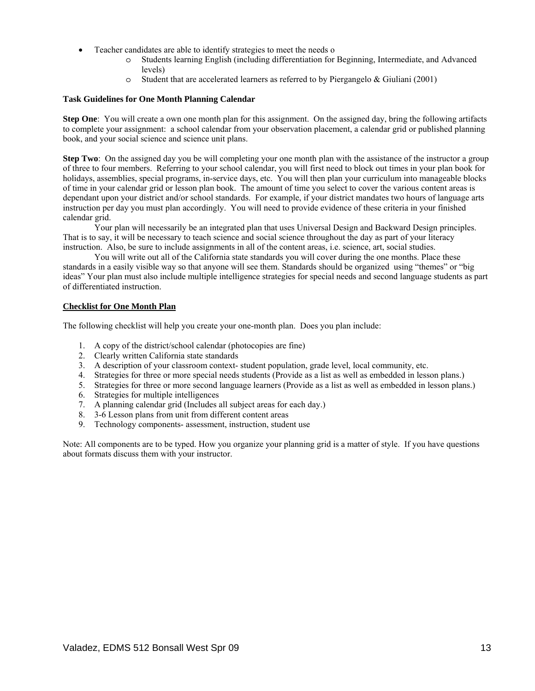- Teacher candidates are able to identify strategies to meet the needs o
	- o Students learning English (including differentiation for Beginning, Intermediate, and Advanced levels)
	- $\circ$  Student that are accelerated learners as referred to by Piergangelo & Giuliani (2001)

### **Task Guidelines for One Month Planning Calendar**

**Step One**: You will create a own one month plan for this assignment. On the assigned day, bring the following artifacts to complete your assignment: a school calendar from your observation placement, a calendar grid or published planning book, and your social science and science unit plans.

**Step Two**: On the assigned day you be will completing your one month plan with the assistance of the instructor a group of three to four members. Referring to your school calendar, you will first need to block out times in your plan book for holidays, assemblies, special programs, in-service days, etc. You will then plan your curriculum into manageable blocks of time in your calendar grid or lesson plan book. The amount of time you select to cover the various content areas is dependant upon your district and/or school standards. For example, if your district mandates two hours of language arts instruction per day you must plan accordingly. You will need to provide evidence of these criteria in your finished calendar grid.

Your plan will necessarily be an integrated plan that uses Universal Design and Backward Design principles. That is to say, it will be necessary to teach science and social science throughout the day as part of your literacy instruction. Also, be sure to include assignments in all of the content areas, i.e. science, art, social studies.

You will write out all of the California state standards you will cover during the one months. Place these standards in a easily visible way so that anyone will see them. Standards should be organized using "themes" or "big ideas" Your plan must also include multiple intelligence strategies for special needs and second language students as part of differentiated instruction.

# **Checklist for One Month Plan**

The following checklist will help you create your one-month plan. Does you plan include:

- 1. A copy of the district/school calendar (photocopies are fine)
- 2. Clearly written California state standards
- 3. A description of your classroom context- student population, grade level, local community, etc.
- 4. Strategies for three or more special needs students (Provide as a list as well as embedded in lesson plans.)
- 5. Strategies for three or more second language learners (Provide as a list as well as embedded in lesson plans.)
- 6. Strategies for multiple intelligences
- 7. A planning calendar grid (Includes all subject areas for each day.)
- 8. 3-6 Lesson plans from unit from different content areas
- 9. Technology components- assessment, instruction, student use

Note: All components are to be typed. How you organize your planning grid is a matter of style. If you have questions about formats discuss them with your instructor.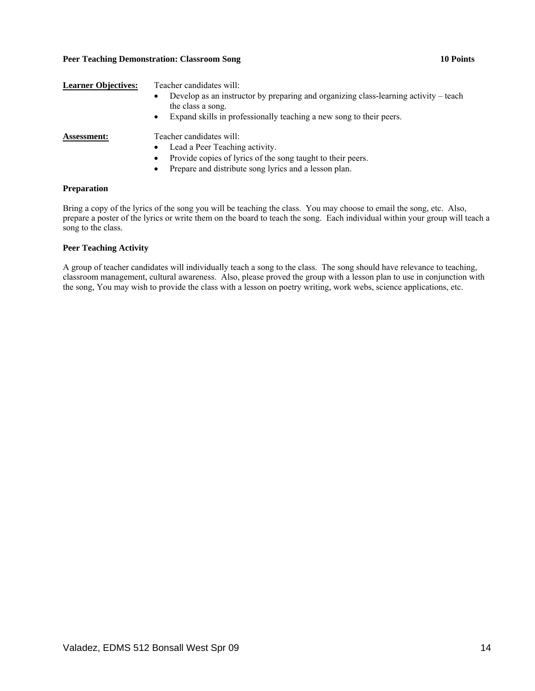# Peer Teaching Demonstration: Classroom Song **10 Points 10 Points**

| <b>Learner Objectives:</b> | Teacher candidates will:<br>Develop as an instructor by preparing and organizing class-learning activity – teach<br>the class a song.<br>Expand skills in professionally teaching a new song to their peers.              |
|----------------------------|---------------------------------------------------------------------------------------------------------------------------------------------------------------------------------------------------------------------------|
| <b>Assessment:</b>         | Teacher candidates will:<br>Lead a Peer Teaching activity.<br>$\bullet$<br>Provide copies of lyrics of the song taught to their peers.<br>$\bullet$<br>Prepare and distribute song lyrics and a lesson plan.<br>$\bullet$ |

### **Preparation**

Bring a copy of the lyrics of the song you will be teaching the class. You may choose to email the song, etc. Also, prepare a poster of the lyrics or write them on the board to teach the song. Each individual within your group will teach a song to the class.

# **Peer Teaching Activity**

A group of teacher candidates will individually teach a song to the class. The song should have relevance to teaching, classroom management, cultural awareness. Also, please proved the group with a lesson plan to use in conjunction with the song, You may wish to provide the class with a lesson on poetry writing, work webs, science applications, etc.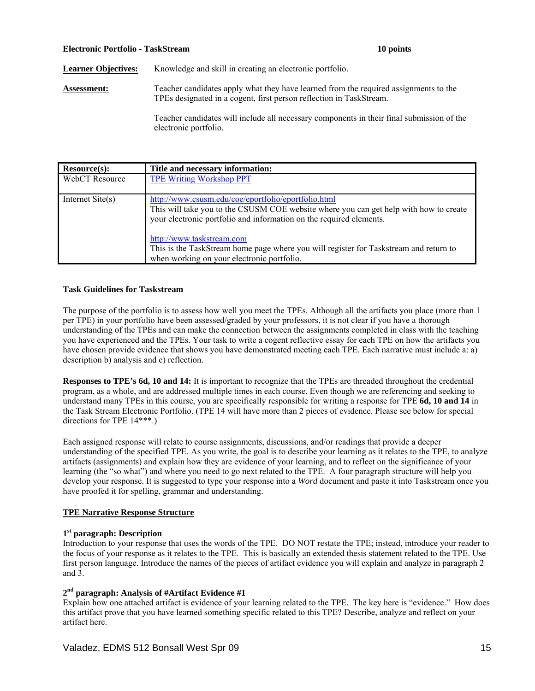### **Electronic Portfolio - TaskStream 10 points**

Learner Objectives: Knowledge and skill in creating an electronic portfolio.

**Assessment:** Teacher candidates apply what they have learned from the required assignments to the TPEs designated in a cogent, first person reflection in TaskStream.

> Teacher candidates will include all necessary components in their final submission of the electronic portfolio.

| Resource(s):              | Title and necessary information:                                                                                                                                                                                                                 |
|---------------------------|--------------------------------------------------------------------------------------------------------------------------------------------------------------------------------------------------------------------------------------------------|
| WebCT Resource            | <b>TPE Writing Workshop PPT</b>                                                                                                                                                                                                                  |
| Internet $\text{Site}(s)$ | http://www.csusm.edu/coe/eportfolio/eportfolio.html<br>This will take you to the CSUSM COE website where you can get help with how to create<br>your electronic portfolio and information on the required elements.<br>http://www.taskstream.com |
|                           | This is the TaskStream home page where you will register for Taskstream and return to<br>when working on your electronic portfolio.                                                                                                              |

### **Task Guidelines for Taskstream**

The purpose of the portfolio is to assess how well you meet the TPEs. Although all the artifacts you place (more than 1 per TPE) in your portfolio have been assessed/graded by your professors, it is not clear if you have a thorough understanding of the TPEs and can make the connection between the assignments completed in class with the teaching you have experienced and the TPEs. Your task to write a cogent reflective essay for each TPE on how the artifacts you have chosen provide evidence that shows you have demonstrated meeting each TPE. Each narrative must include a: a) description b) analysis and c) reflection.

**Responses to TPE's 6d, 10 and 14:** It is important to recognize that the TPEs are threaded throughout the credential program, as a whole, and are addressed multiple times in each course. Even though we are referencing and seeking to understand many TPEs in this course, you are specifically responsible for writing a response for TPE **6d, 10 and 14** in the Task Stream Electronic Portfolio. (TPE 14 will have more than 2 pieces of evidence. Please see below for special directions for TPE 14\*\*\*.)

Each assigned response will relate to course assignments, discussions, and/or readings that provide a deeper understanding of the specified TPE. As you write, the goal is to describe your learning as it relates to the TPE, to analyze artifacts (assignments) and explain how they are evidence of your learning, and to reflect on the significance of your learning (the "so what") and where you need to go next related to the TPE. A four paragraph structure will help you develop your response. It is suggested to type your response into a *Word* document and paste it into Taskstream once you have proofed it for spelling, grammar and understanding.

# **TPE Narrative Response Structure**

# **1st paragraph: Description**

Introduction to your response that uses the words of the TPE. DO NOT restate the TPE; instead, introduce your reader to the focus of your response as it relates to the TPE. This is basically an extended thesis statement related to the TPE. Use first person language. Introduce the names of the pieces of artifact evidence you will explain and analyze in paragraph 2 and 3.

# **2nd paragraph: Analysis of #Artifact Evidence #1**

Explain how one attached artifact is evidence of your learning related to the TPE. The key here is "evidence." How does this artifact prove that you have learned something specific related to this TPE? Describe, analyze and reflect on your artifact here.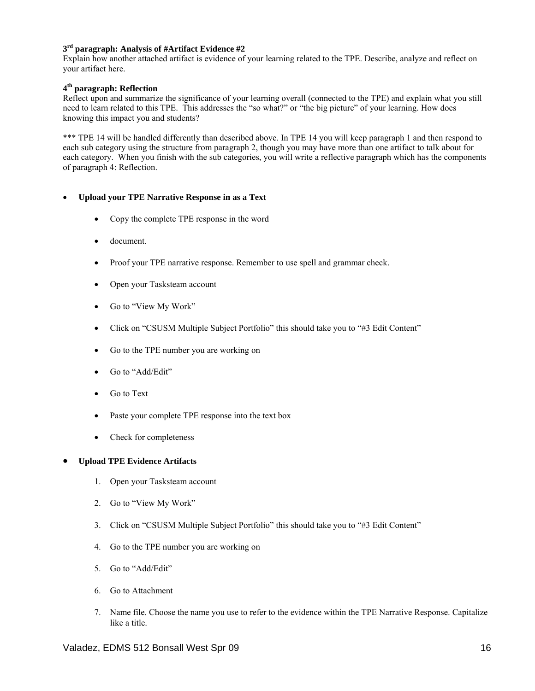# **3rd paragraph: Analysis of #Artifact Evidence #2**

Explain how another attached artifact is evidence of your learning related to the TPE. Describe, analyze and reflect on your artifact here.

# **4th paragraph: Reflection**

Reflect upon and summarize the significance of your learning overall (connected to the TPE) and explain what you still need to learn related to this TPE. This addresses the "so what?" or "the big picture" of your learning. How does knowing this impact you and students?

\*\*\* TPE 14 will be handled differently than described above. In TPE 14 you will keep paragraph 1 and then respond to each sub category using the structure from paragraph 2, though you may have more than one artifact to talk about for each category. When you finish with the sub categories, you will write a reflective paragraph which has the components of paragraph 4: Reflection.

# Upload your TPE Narrative Response in as a Text

- Copy the complete TPE response in the word
- • document.
- Proof your TPE narrative response. Remember to use spell and grammar check.
- Open your Tasksteam account
- Go to "View My Work"
- Click on "CSUSM Multiple Subject Portfolio" this should take you to "#3 Edit Content"
- Go to the TPE number you are working on
- Go to "Add/Edit"
- Go to Text
- Paste your complete TPE response into the text box
- Check for completeness

# **Upload TPE Evidence Artifacts**

- 1. Open your Tasksteam account
- 2. Go to "View My Work"
- 3. Click on "CSUSM Multiple Subject Portfolio" this should take you to "#3 Edit Content"
- 4. Go to the TPE number you are working on
- 5. Go to "Add/Edit"
- 6. Go to Attachment
- 7. Name file. Choose the name you use to refer to the evidence within the TPE Narrative Response. Capitalize like a title.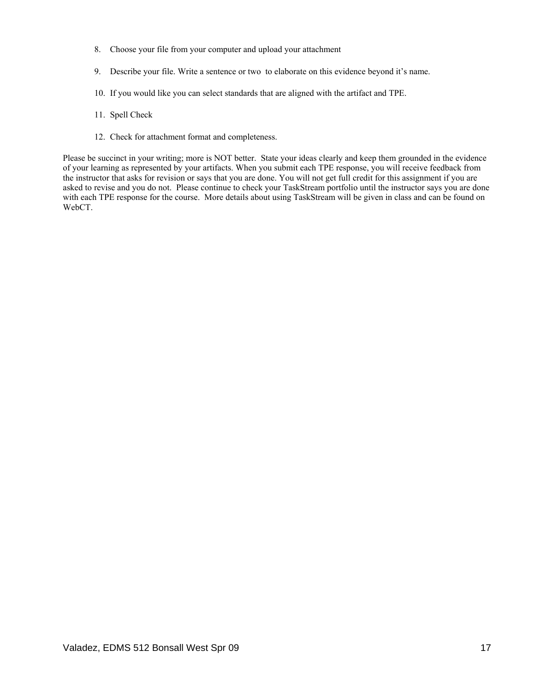- 8. Choose your file from your computer and upload your attachment
- 9. Describe your file. Write a sentence or two to elaborate on this evidence beyond it's name.
- 10. If you would like you can select standards that are aligned with the artifact and TPE.
- 11. Spell Check
- 12. Check for attachment format and completeness.

Please be succinct in your writing; more is NOT better. State your ideas clearly and keep them grounded in the evidence of your learning as represented by your artifacts. When you submit each TPE response, you will receive feedback from the instructor that asks for revision or says that you are done. You will not get full credit for this assignment if you are asked to revise and you do not. Please continue to check your TaskStream portfolio until the instructor says you are done with each TPE response for the course. More details about using TaskStream will be given in class and can be found on WebCT.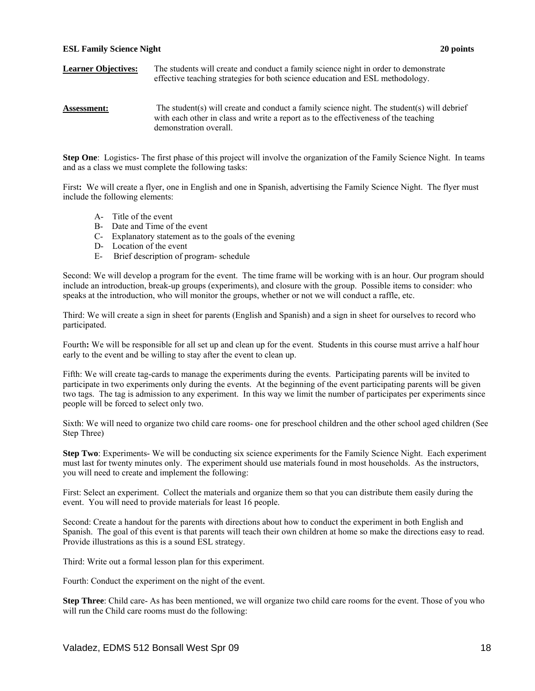### **ESL Family Science Night 20 points**

### **Learner Objectives:** The students will create and conduct a family science night in order to demonstrate effective teaching strategies for both science education and ESL methodology.

### **Assessment:** The student(s) will create and conduct a family science night. The student(s) will debrief with each other in class and write a report as to the effectiveness of the teaching demonstration overall.

**Step One**: Logistics- The first phase of this project will involve the organization of the Family Science Night. In teams and as a class we must complete the following tasks:

First: We will create a flyer, one in English and one in Spanish, advertising the Family Science Night. The flyer must include the following elements:

- A- Title of the event
- B- Date and Time of the event
- C- Explanatory statement as to the goals of the evening
- D- Location of the event
- E- Brief description of program- schedule

Second: We will develop a program for the event. The time frame will be working with is an hour. Our program should include an introduction, break-up groups (experiments), and closure with the group. Possible items to consider: who speaks at the introduction, who will monitor the groups, whether or not we will conduct a raffle, etc.

Third: We will create a sign in sheet for parents (English and Spanish) and a sign in sheet for ourselves to record who participated.

early to the event and be willing to stay after the event to clean up. Fourth**:** We will be responsible for all set up and clean up for the event. Students in this course must arrive a half hour

Fifth: We will create tag-cards to manage the experiments during the events. Participating parents will be invited to participate in two experiments only during the events. At the beginning of the event participating parents will be given two tags. The tag is admission to any experiment. In this way we limit the number of participates per experiments since people will be forced to select only two.

Sixth: We will need to organize two child care rooms- one for preschool children and the other school aged children (See Step Three)

**Step Two**: Experiments- We will be conducting six science experiments for the Family Science Night. Each experiment must last for twenty minutes only. The experiment should use materials found in most households. As the instructors, you will need to create and implement the following:

First: Select an experiment. Collect the materials and organize them so that you can distribute them easily during the event. You will need to provide materials for least 16 people.

Second: Create a handout for the parents with directions about how to conduct the experiment in both English and Spanish. The goal of this event is that parents will teach their own children at home so make the directions easy to read. Provide illustrations as this is a sound ESL strategy.

Third: Write out a formal lesson plan for this experiment.

Fourth: Conduct the experiment on the night of the event.

**Step Three**: Child care- As has been mentioned, we will organize two child care rooms for the event. Those of you who will run the Child care rooms must do the following: